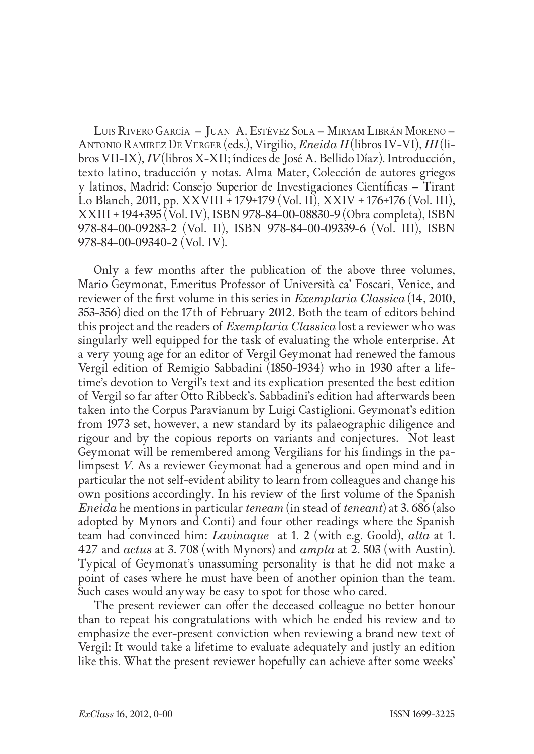Luis Rivero García – Juan A. Estévez Sola – Miryam Librán Moreno – Antonio Ramirez De Verger (eds.), Virgilio, *Eneida II* (libros IV-VI), *III* (libros VII-IX), *IV* (libros X-XII; índices de José A. Bellido Díaz). Introducción, texto latino, traducción y notas. Alma Mater, Colección de autores griegos y latinos, Madrid: Consejo Superior de Investigaciones Científicas – Tirant Lo Blanch, 2011, pp. XXVIII + 179+179 (Vol. II), XXIV + 176+176 (Vol. III), XXIII + 194+395 (Vol. IV), ISBN 978-84-00-08830-9 (Obra completa), ISBN 978-84-00-09283-2 (Vol. II), ISBN 978-84-00-09339-6 (Vol. III), ISBN 978-84-00-09340-2 (Vol. IV).

Only a few months after the publication of the above three volumes, Mario Geymonat, Emeritus Professor of Università ca' Foscari, Venice, and reviewer of the first volume in this series in *Exemplaria Classica* (14, 2010, 353-356) died on the 17th of February 2012. Both the team of editors behind this project and the readers of *Exemplaria Classica* lost a reviewer who was singularly well equipped for the task of evaluating the whole enterprise. At a very young age for an editor of Vergil Geymonat had renewed the famous Vergil edition of Remigio Sabbadini (1850-1934) who in 1930 after a lifetime's devotion to Vergil's text and its explication presented the best edition of Vergil so far after Otto Ribbeck's. Sabbadini's edition had afterwards been taken into the Corpus Paravianum by Luigi Castiglioni. Geymonat's edition from 1973 set, however, a new standard by its palaeographic diligence and rigour and by the copious reports on variants and conjectures. Not least Geymonat will be remembered among Vergilians for his findings in the palimpsest *V*. As a reviewer Geymonat had a generous and open mind and in particular the not self-evident ability to learn from colleagues and change his own positions accordingly. In his review of the first volume of the Spanish *Eneida* he mentions in particular *teneam* (in stead of *teneant*) at 3. 686 (also adopted by Mynors and Conti) and four other readings where the Spanish team had convinced him: *Lavinaque* at 1. 2 (with e.g. Goold), *alta* at 1. 427 and *actus* at 3. 708 (with Mynors) and *ampla* at 2. 503 (with Austin). Typical of Geymonat's unassuming personality is that he did not make a point of cases where he must have been of another opinion than the team. Such cases would anyway be easy to spot for those who cared.

The present reviewer can offer the deceased colleague no better honour than to repeat his congratulations with which he ended his review and to emphasize the ever-present conviction when reviewing a brand new text of Vergil: It would take a lifetime to evaluate adequately and justly an edition like this. What the present reviewer hopefully can achieve after some weeks'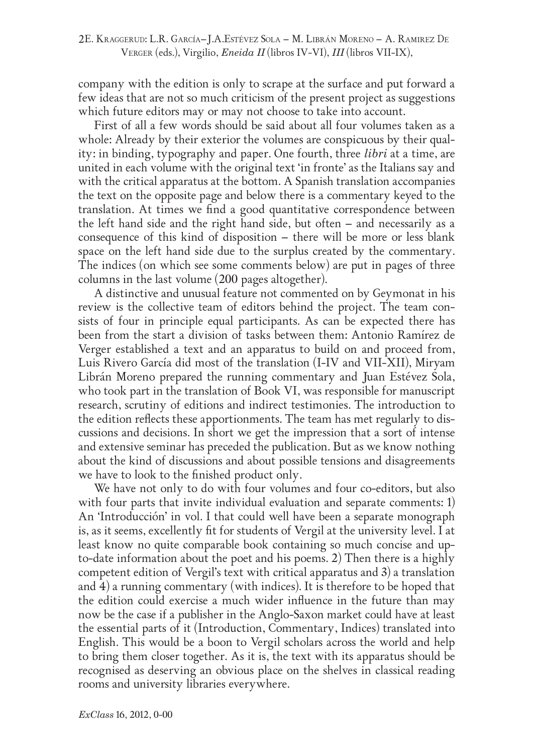company with the edition is only to scrape at the surface and put forward a few ideas that are not so much criticism of the present project as suggestions which future editors may or may not choose to take into account.

First of all a few words should be said about all four volumes taken as a whole: Already by their exterior the volumes are conspicuous by their quality: in binding, typography and paper. One fourth, three *libri* at a time, are united in each volume with the original text 'in fronte' as the Italians say and with the critical apparatus at the bottom. A Spanish translation accompanies the text on the opposite page and below there is a commentary keyed to the translation. At times we find a good quantitative correspondence between the left hand side and the right hand side, but often – and necessarily as a consequence of this kind of disposition – there will be more or less blank space on the left hand side due to the surplus created by the commentary. The indices (on which see some comments below) are put in pages of three columns in the last volume (200 pages altogether).

A distinctive and unusual feature not commented on by Geymonat in his review is the collective team of editors behind the project. The team consists of four in principle equal participants. As can be expected there has been from the start a division of tasks between them: Antonio Ramírez de Verger established a text and an apparatus to build on and proceed from, Luis Rivero García did most of the translation (I-IV and VII-XII), Miryam Librán Moreno prepared the running commentary and Juan Estévez Sola, who took part in the translation of Book VI, was responsible for manuscript research, scrutiny of editions and indirect testimonies. The introduction to the edition reflects these apportionments. The team has met regularly to discussions and decisions. In short we get the impression that a sort of intense and extensive seminar has preceded the publication. But as we know nothing about the kind of discussions and about possible tensions and disagreements we have to look to the finished product only.

We have not only to do with four volumes and four co-editors, but also with four parts that invite individual evaluation and separate comments: 1) An 'Introducción' in vol. I that could well have been a separate monograph is, as it seems, excellently fit for students of Vergil at the university level. I at least know no quite comparable book containing so much concise and upto-date information about the poet and his poems. 2) Then there is a highly competent edition of Vergil's text with critical apparatus and 3) a translation and 4) a running commentary (with indices). It is therefore to be hoped that the edition could exercise a much wider influence in the future than may now be the case if a publisher in the Anglo-Saxon market could have at least the essential parts of it (Introduction, Commentary, Indices) translated into English. This would be a boon to Vergil scholars across the world and help to bring them closer together. As it is, the text with its apparatus should be recognised as deserving an obvious place on the shelves in classical reading rooms and university libraries everywhere.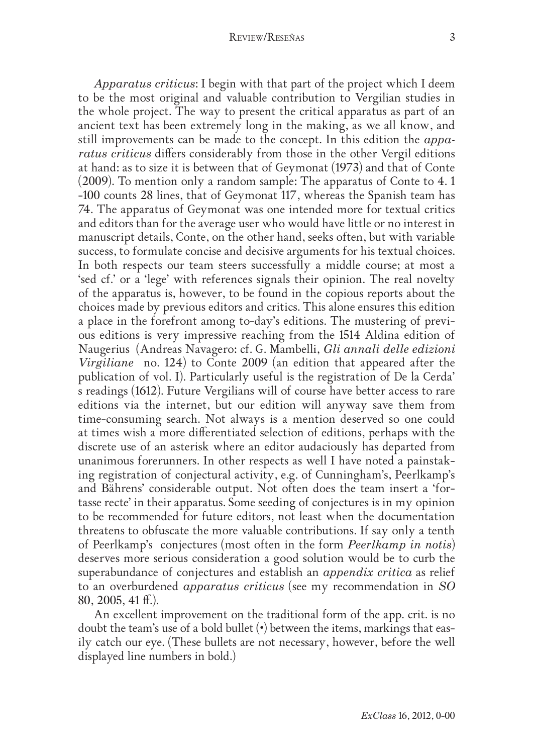*Apparatus criticus*: I begin with that part of the project which I deem to be the most original and valuable contribution to Vergilian studies in the whole project. The way to present the critical apparatus as part of an ancient text has been extremely long in the making, as we all know, and still improvements can be made to the concept. In this edition the *apparatus criticus* differs considerably from those in the other Vergil editions at hand: as to size it is between that of Geymonat (1973) and that of Conte (2009). To mention only a random sample: The apparatus of Conte to 4. 1 -100 counts 28 lines, that of Geymonat 117, whereas the Spanish team has 74. The apparatus of Geymonat was one intended more for textual critics and editors than for the average user who would have little or no interest in manuscript details, Conte, on the other hand, seeks often, but with variable success, to formulate concise and decisive arguments for his textual choices. In both respects our team steers successfully a middle course; at most a 'sed cf.' or a 'lege' with references signals their opinion. The real novelty of the apparatus is, however, to be found in the copious reports about the choices made by previous editors and critics. This alone ensures this edition a place in the forefront among to-day's editions. The mustering of previous editions is very impressive reaching from the 1514 Aldina edition of Naugerius (Andreas Navagero: cf. G. Mambelli, *Gli annali delle edizioni Virgiliane* no. 124) to Conte 2009 (an edition that appeared after the publication of vol. I). Particularly useful is the registration of De la Cerda' s readings (1612). Future Vergilians will of course have better access to rare editions via the internet, but our edition will anyway save them from time-consuming search. Not always is a mention deserved so one could at times wish a more differentiated selection of editions, perhaps with the discrete use of an asterisk where an editor audaciously has departed from unanimous forerunners. In other respects as well I have noted a painstaking registration of conjectural activity, e.g. of Cunningham's, Peerlkamp's and Bährens' considerable output. Not often does the team insert a 'fortasse recte' in their apparatus. Some seeding of conjectures is in my opinion to be recommended for future editors, not least when the documentation threatens to obfuscate the more valuable contributions. If say only a tenth of Peerlkamp's conjectures (most often in the form *Peerlkamp in notis*) deserves more serious consideration a good solution would be to curb the superabundance of conjectures and establish an *appendix critica* as relief to an overburdened *apparatus criticus* (see my recommendation in *SO* 80, 2005, 41 ff.).

An excellent improvement on the traditional form of the app. crit. is no doubt the team's use of a bold bullet (•) between the items, markings that easily catch our eye. (These bullets are not necessary, however, before the well displayed line numbers in bold.)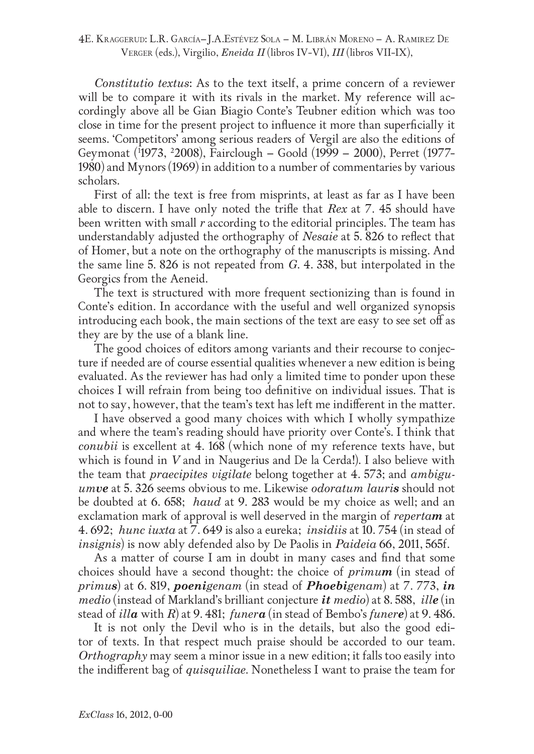4E. Kraggerud: L.R. García–J.A.Estévez Sola – M. Librán Moreno – A. Ramirez De Verger (eds.), Virgilio, *Eneida II* (libros IV-VI), *III* (libros VII-IX),

*Constitutio textus*: As to the text itself, a prime concern of a reviewer will be to compare it with its rivals in the market. My reference will accordingly above all be Gian Biagio Conte's Teubner edition which was too close in time for the present project to influence it more than superficially it seems. 'Competitors' among serious readers of Vergil are also the editions of Geymonat (1 1973, 2 2008), Fairclough – Goold (1999 – 2000), Perret (1977- 1980) and Mynors (1969) in addition to a number of commentaries by various scholars.

First of all: the text is free from misprints, at least as far as I have been able to discern. I have only noted the trifle that *Rex* at 7. 45 should have been written with small *r* according to the editorial principles. The team has understandably adjusted the orthography of *Nesaie* at 5. 826 to reflect that of Homer, but a note on the orthography of the manuscripts is missing. And the same line 5. 826 is not repeated from *G*. 4. 338, but interpolated in the Georgics from the Aeneid.

The text is structured with more frequent sectionizing than is found in Conte's edition. In accordance with the useful and well organized synopsis introducing each book, the main sections of the text are easy to see set off as they are by the use of a blank line.

The good choices of editors among variants and their recourse to conjecture if needed are of course essential qualities whenever a new edition is being evaluated. As the reviewer has had only a limited time to ponder upon these choices I will refrain from being too definitive on individual issues. That is not to say, however, that the team's text has left me indifferent in the matter.

I have observed a good many choices with which I wholly sympathize and where the team's reading should have priority over Conte's. I think that *conubii* is excellent at 4. 168 (which none of my reference texts have, but which is found in *V* and in Naugerius and De la Cerda!). I also believe with the team that *praecipites vigilate* belong together at 4. 573; and *ambiguumve* at 5. 326 seems obvious to me. Likewise *odoratum lauris* should not be doubted at 6. 658; *haud* at 9. 283 would be my choice as well; and an exclamation mark of approval is well deserved in the margin of *repertam* at 4. 692; *hunc iuxta* at 7. 649 is also a eureka; *insidiis* at 10. 754 (in stead of *insignis*) is now ably defended also by De Paolis in *Paideia* 66, 2011, 565f.

As a matter of course I am in doubt in many cases and find that some choices should have a second thought: the choice of *primum* (in stead of *primus*) at 6. 819, *poenigenam* (in stead of *Phoebigenam*) at 7. 773, *in medio* (instead of Markland's brilliant conjecture *it medio*) at 8. 588, *ille* (in stead of *illa* with *R*) at 9. 481; *funera* (in stead of Bembo's *funere*) at 9. 486.

It is not only the Devil who is in the details, but also the good editor of texts. In that respect much praise should be accorded to our team. *Orthography* may seem a minor issue in a new edition; it falls too easily into the indifferent bag of *quisquiliae*. Nonetheless I want to praise the team for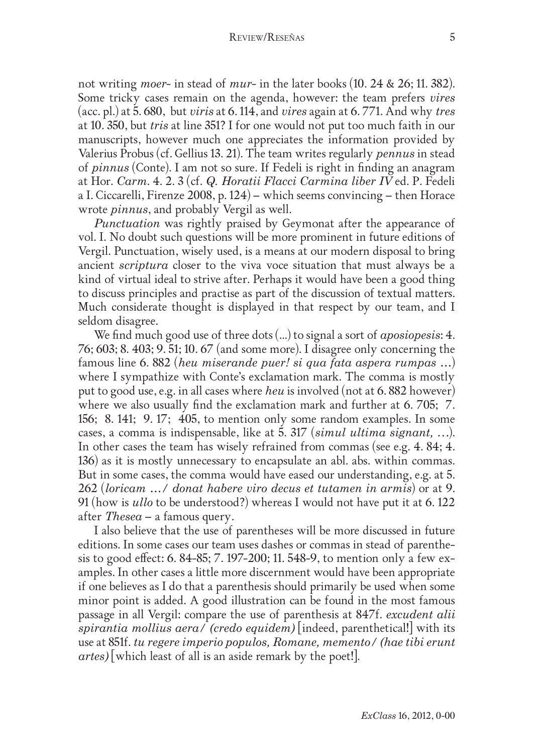not writing *moer*- in stead of *mur*- in the later books (10. 24 & 26; 11. 382). Some tricky cases remain on the agenda, however: the team prefers *vires* (acc. pl.) at 5. 680, but *viris* at 6. 114, and *vires* again at 6. 771. And why *tres* at 10. 350, but *tris* at line 351? I for one would not put too much faith in our manuscripts, however much one appreciates the information provided by Valerius Probus (cf. Gellius 13. 21). The team writes regularly *pennus* in stead of *pinnus* (Conte). I am not so sure. If Fedeli is right in finding an anagram at Hor. *Carm*. 4. 2. 3 (cf. *Q. Horatii Flacci Carmina liber IV* ed. P. Fedeli a I. Ciccarelli, Firenze 2008, p. 124) – which seems convincing – then Horace wrote *pinnus*, and probably Vergil as well.

*Punctuation* was rightly praised by Geymonat after the appearance of vol. I. No doubt such questions will be more prominent in future editions of Vergil. Punctuation, wisely used, is a means at our modern disposal to bring ancient *scriptura* closer to the viva voce situation that must always be a kind of virtual ideal to strive after. Perhaps it would have been a good thing to discuss principles and practise as part of the discussion of textual matters. Much considerate thought is displayed in that respect by our team, and I seldom disagree.

We find much good use of three dots (...) to signal a sort of *aposiopesis*: 4. 76; 603; 8. 403; 9. 51; 10. 67 (and some more). I disagree only concerning the famous line 6. 882 (*heu miserande puer! si qua fata aspera rumpas …*) where I sympathize with Conte's exclamation mark. The comma is mostly put to good use, e.g. in all cases where *heu* is involved (not at 6. 882 however) where we also usually find the exclamation mark and further at 6.705; 7. 156; 8. 141; 9. 17; 405, to mention only some random examples. In some cases, a comma is indispensable, like at 5. 317 (*simul ultima signant,* …). In other cases the team has wisely refrained from commas (see e.g. 4. 84; 4. 136) as it is mostly unnecessary to encapsulate an abl. abs. within commas. But in some cases, the comma would have eased our understanding, e.g. at 5. 262 (*loricam …/ donat habere viro decus et tutamen in armis*) or at 9. 91 (how is *ullo* to be understood?) whereas I would not have put it at 6. 122 after *Thesea* – a famous query.

I also believe that the use of parentheses will be more discussed in future editions. In some cases our team uses dashes or commas in stead of parenthesis to good effect: 6. 84-85; 7. 197-200; 11. 548-9, to mention only a few examples. In other cases a little more discernment would have been appropriate if one believes as I do that a parenthesis should primarily be used when some minor point is added. A good illustration can be found in the most famous passage in all Vergil: compare the use of parenthesis at 847f. *excudent alii spirantia mollius aera/ (credo equidem)* [indeed, parenthetical!] with its use at 851f. *tu regere imperio populos, Romane, memento/ (hae tibi erunt artes)* [which least of all is an aside remark by the poet!].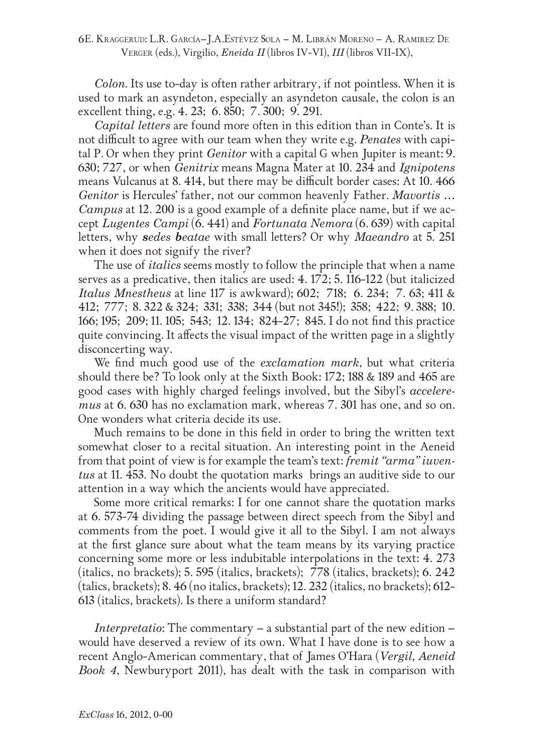*Colon*. Its use to-day is often rather arbitrary, if not pointless. When it is used to mark an asyndeton, especially an asyndeton causale, the colon is an excellent thing, e.g. 4. 23; 6. 850; 7. 300; 9. 291.

*Capital letters* are found more often in this edition than in Conte's. It is not difficult to agree with our team when they write e.g. *Penates* with capital P. Or when they print *Genitor* with a capital G when Jupiter is meant: 9. 630; 727, or when *Genitrix* means Magna Mater at 10. 234 and *Ignipotens* means Vulcanus at 8. 414, but there may be difficult border cases: At 10. 466 *Genitor* is Hercules' father, not our common heavenly Father. *Mavortis … Campus* at 12. 200 is a good example of a definite place name, but if we accept *Lugentes Campi* (6. 441) and *Fortunata Nemora* (6. 639) with capital letters, why *sedes beatae* with small letters? Or why *Maeandro* at 5. 251 when it does not signify the river?

The use of *italics* seems mostly to follow the principle that when a name serves as a predicative, then italics are used: 4. 172; 5. 116-122 (but italicized *Italus Mnestheus* at line 117 is awkward); 602; 718; 6. 234; 7. 63; 411 & 412; 777; 8. 322 & 324; 331; 338; 344 (but not 345!); 358; 422; 9. 388; 10. 166; 195; 209; 11. 105; 543; 12. 134; 824-27; 845. I do not find this practice quite convincing. It affects the visual impact of the written page in a slightly disconcerting way.

We find much good use of the *exclamation mark*, but what criteria should there be? To look only at the Sixth Book: 172; 188 & 189 and 465 are good cases with highly charged feelings involved, but the Sibyl's *acceleremus* at 6. 630 has no exclamation mark, whereas 7. 301 has one, and so on. One wonders what criteria decide its use.

Much remains to be done in this field in order to bring the written text somewhat closer to a recital situation. An interesting point in the Aeneid from that point of view is for example the team's text: *fremit "arma" iuventus* at 11. 453. No doubt the quotation marks brings an auditive side to our attention in a way which the ancients would have appreciated.

Some more critical remarks: I for one cannot share the quotation marks at 6. 573-74 dividing the passage between direct speech from the Sibyl and comments from the poet. I would give it all to the Sibyl. I am not always at the first glance sure about what the team means by its varying practice concerning some more or less indubitable interpolations in the text: 4. 273 (italics, no brackets); 5. 595 (italics, brackets); 778 (italics, brackets); 6. 242 (talics, brackets); 8. 46 (no italics, brackets); 12. 232 (italics, no brackets); 612- 613 (italics, brackets). Is there a uniform standard?

*Interpretatio*: The commentary – a substantial part of the new edition – would have deserved a review of its own. What I have done is to see how a recent Anglo-American commentary, that of James O'Hara (*Vergil, Aeneid Book 4*, Newburyport 2011), has dealt with the task in comparison with